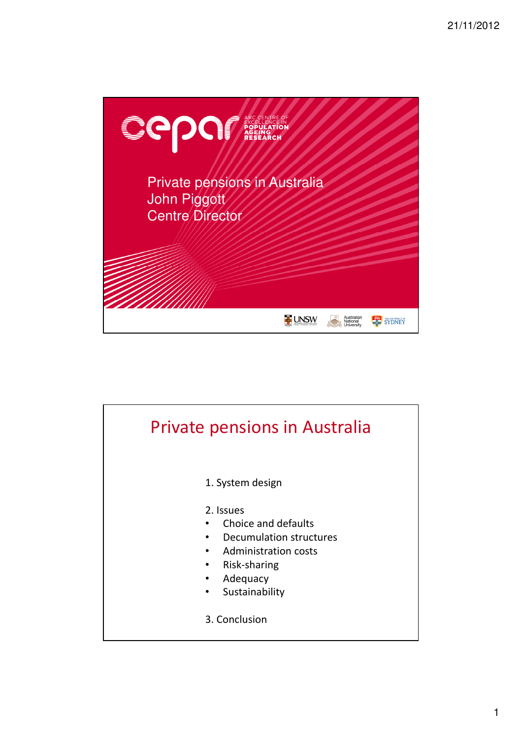

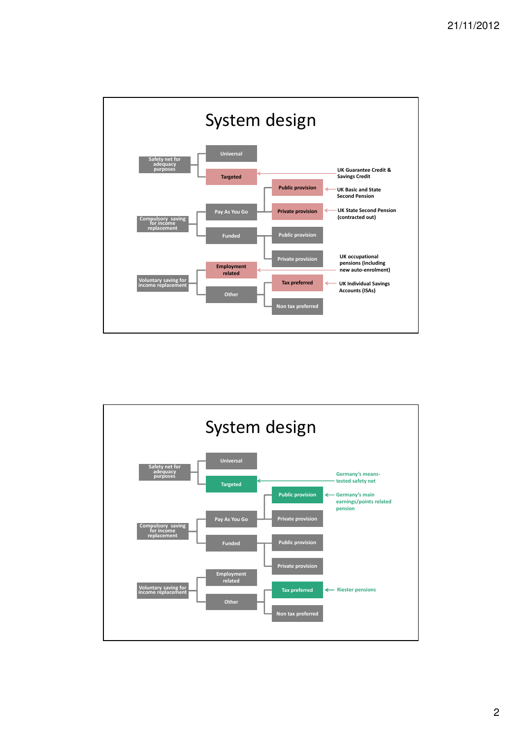

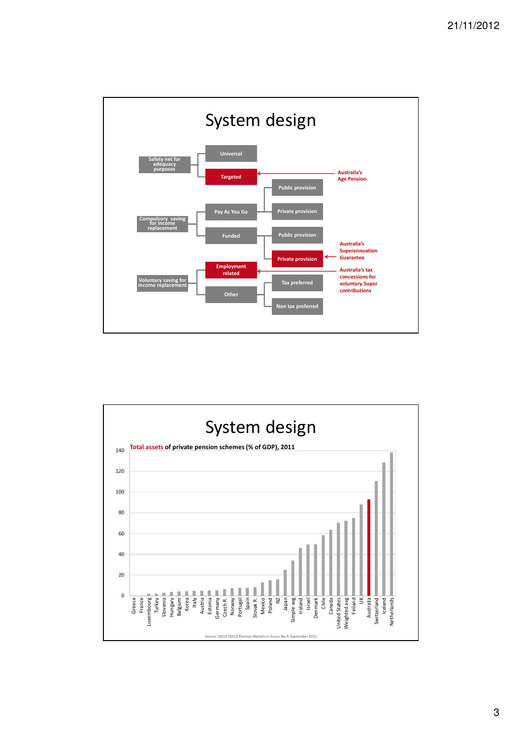

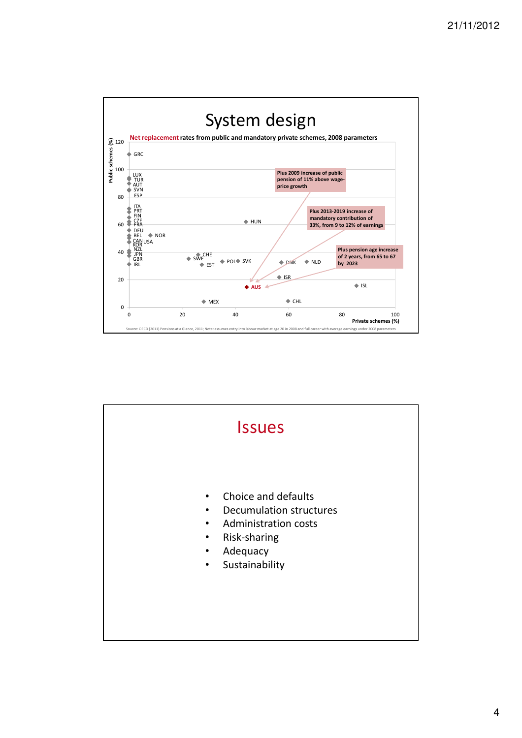

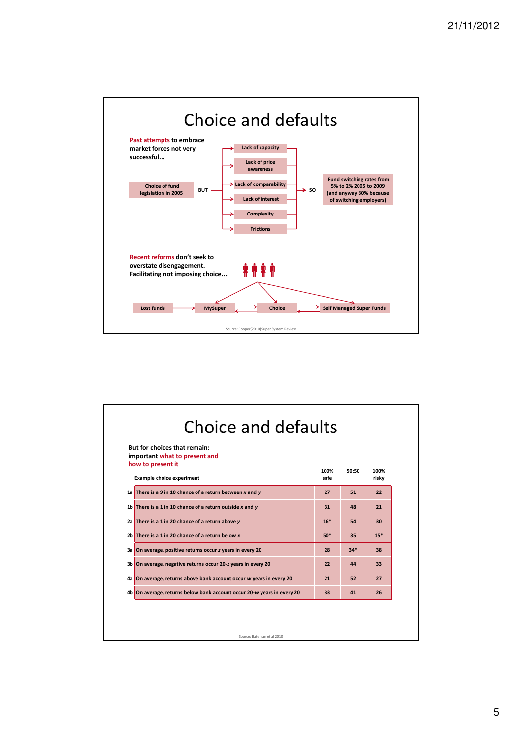

| <b>But for choices that remain:</b><br>important what to present and<br>how to present it |              |       |               |
|-------------------------------------------------------------------------------------------|--------------|-------|---------------|
| <b>Example choice experiment</b>                                                          | 100%<br>safe | 50:50 | 100%<br>risky |
| 1a There is a 9 in 10 chance of a return between $x$ and $y$                              | 27           | 51    | 22            |
| 1b There is a 1 in 10 chance of a return outside $x$ and $y$                              | 31           | 48    | 21            |
| 2a There is a 1 in 20 chance of a return above y                                          | $16*$        | 54    | 30            |
| 2b There is a 1 in 20 chance of a return below $x$                                        | $50*$        | 35    | $15*$         |
| 3a On average, positive returns occur z years in every 20                                 | 28           | $34*$ | 38            |
| 3b On average, negative returns occur 20-z years in every 20                              | 22           | 44    | 33            |
| 4a On average, returns above bank account occur w years in every 20                       | 21           | 52    | 27            |
| 4b On average, returns below bank account occur 20-w years in every 20                    | 33           | 41    | 26            |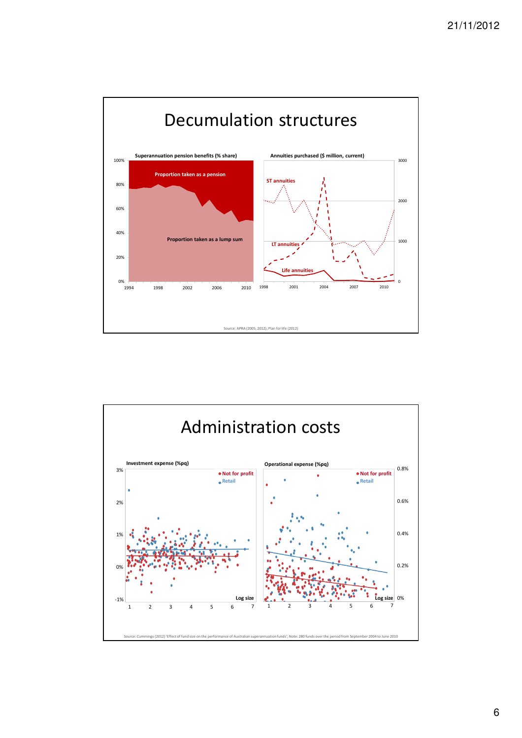

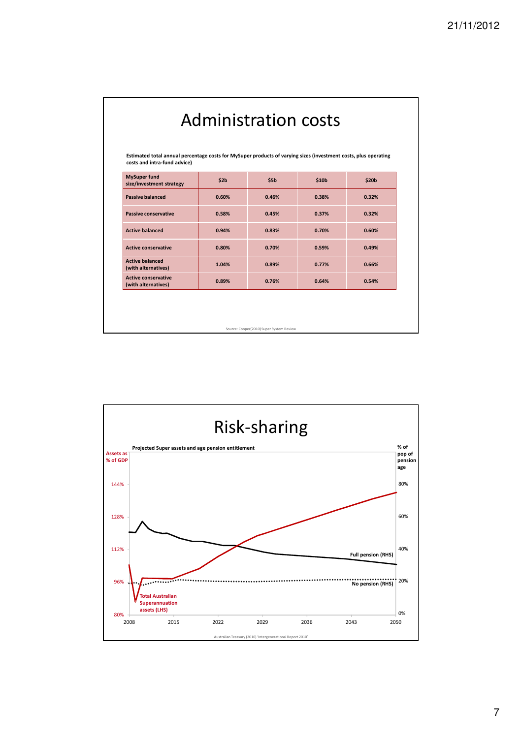| <b>Administration costs</b><br>Estimated total annual percentage costs for MySuper products of varying sizes (investment costs, plus operating<br>costs and intra-fund advice) |       |       |       |       |  |  |  |
|--------------------------------------------------------------------------------------------------------------------------------------------------------------------------------|-------|-------|-------|-------|--|--|--|
|                                                                                                                                                                                |       |       |       |       |  |  |  |
| <b>Passive balanced</b>                                                                                                                                                        | 0.60% | 0.46% | 0.38% | 0.32% |  |  |  |
| <b>Passive conservative</b>                                                                                                                                                    | 0.58% | 0.45% | 0.37% | 0.32% |  |  |  |
| <b>Active balanced</b>                                                                                                                                                         | 0.94% | 0.83% | 0.70% | 0.60% |  |  |  |
| <b>Active conservative</b>                                                                                                                                                     | 0.80% | 0.70% | 0.59% | 0.49% |  |  |  |
| <b>Active balanced</b><br>(with alternatives)                                                                                                                                  | 1.04% | 0.89% | 0.77% | 0.66% |  |  |  |
| <b>Active conservative</b><br>(with alternatives)                                                                                                                              | 0.89% | 0.76% | 0.64% | 0.54% |  |  |  |
|                                                                                                                                                                                |       |       |       |       |  |  |  |
|                                                                                                                                                                                |       |       |       |       |  |  |  |
| Source: Cooper(2010) Super System Review                                                                                                                                       |       |       |       |       |  |  |  |

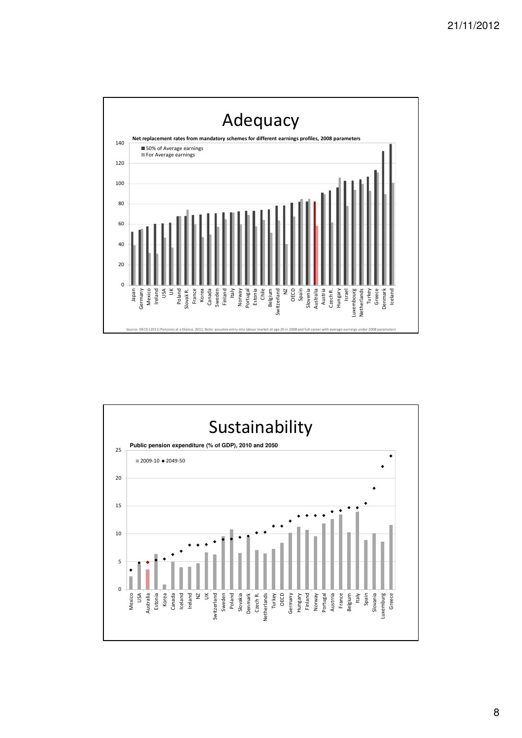